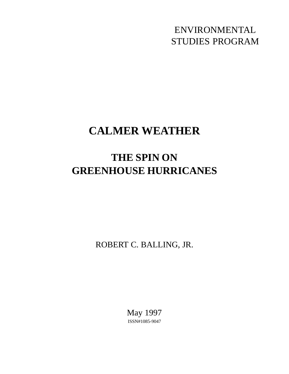ENVIRONMENTAL STUDIES PROGRAM

# **CALMER WEATHER**

# **THE SPIN ON GREENHOUSE HURRICANES**

ROBERT C. BALLING, JR.

May 1997 ISSN#1085-9047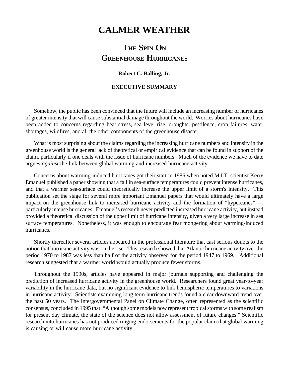# **CALMER WEATHER**

# **THE SPIN O<sup>N</sup> GREENHOUSE HURRICANES**

## **Robert C. Balling, Jr.**

### **EXECUTIVE SUMMARY**

Somehow, the public has been convinced that the future will include an increasing number of hurricanes of greater intensity that will cause substantial damage throughout the world. Worries about hurricanes have been added to concerns regarding heat stress, sea level rise, droughts, pestilence, crop failures, water shortages, wildfires, and all the other components of the greenhouse disaster.

What is most surprising about the claims regarding the increasing hurricane numbers and intensity in the greenhouse world is the general lack of theoretical or empirical evidence that can be found in support of the claim, particularly if one deals with the issue of hurricane numbers. Much of the evidence we have to date argues *against* the link between global warming and increased hurricane activity.

Concerns about warming-induced hurricanes got their start in 1986 when noted M.I.T. scientist Kerry Emanuel published a paper showing that a fall in sea-surface temperatures could prevent intense hurricanes, and that a warmer sea-surface could theoretically increase the upper limit of a storm's intensity. This publication set the stage for several more important Emanuel papers that would ultimately have a large impact on the greenhouse link to increased hurricane activity and the formation of "hypercanes" particularly intense hurricanes. Emanuel's research never predicted increased hurricane activity, but instead provided a theoretical discussion of the upper limit of hurricane intensity, given a very large increase in sea surface temperatures. Nonetheless, it was enough to encourage fear mongering about warming-induced hurricanes.

Shortly thereafter several articles appeared in the professional literature that cast serious doubts to the notion that hurricane activity was on the rise. This research showed that Atlantic hurricane activity over the period 1970 to 1987 was less than half of the activity observed for the period 1947 to 1969. Additional research suggested that a warmer world would actually produce fewer storms.

Throughout the 1990s, articles have appeared in major journals supporting and challenging the prediction of increased hurricane activity in the greenhouse world. Researchers found great year-to-year variability in the hurricane data, but no significant evidence to link hemispheric temperatures to variations in hurricane activity. Scientists examining long term hurricane trends found a clear downward trend over the past 50 years. The Intergovernmental Panel on Climate Change, often represented as the scientific consensus, concluded in 1995 that: "Although some models now represent tropical storms with some realism for present day climate, the state of the science does not allow assessment of future changes." Scientific research into hurricanes has not produced ringing endorsements for the popular claim that global warming is causing or will cause more hurricane activity.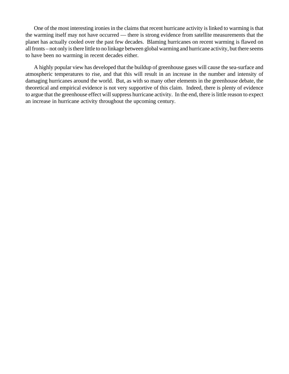One of the most interesting ironies in the claims that recent hurricane activity is linked to warming is that the warming itself may not have occurred — there is strong evidence from satellite measurements that the planet has actually cooled over the past few decades. Blaming hurricanes on recent warming is flawed on all fronts – not only is there little to no linkage between global warming and hurricane activity, but there seems to have been no warming in recent decades either.

A highly popular view has developed that the buildup of greenhouse gases will cause the sea-surface and atmospheric temperatures to rise, and that this will result in an increase in the number and intensity of damaging hurricanes around the world. But, as with so many other elements in the greenhouse debate, the theoretical and empirical evidence is not very supportive of this claim. Indeed, there is plenty of evidence to argue that the greenhouse effect will suppress hurricane activity. In the end, there is little reason to expect an increase in hurricane activity throughout the upcoming century.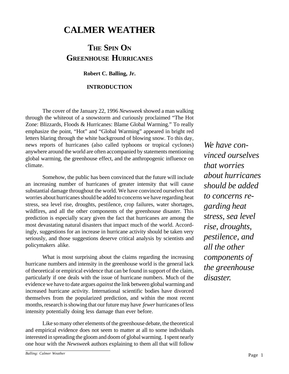# **CALMER WEATHER**

# **THE SPIN O<sup>N</sup> GREENHOUSE HURRICANES**

# **Robert C. Balling, Jr.**

# **INTRODUCTION**

The cover of the January 22, 1996 *Newsweek* showed a man walking through the whiteout of a snowstorm and curiously proclaimed "The Hot Zone: Blizzards, Floods & Hurricanes: Blame Global Warming." To really emphasize the point, "Hot" and "Global Warming" appeared in bright red letters blaring through the white background of blowing snow. To this day, news reports of hurricanes (also called typhoons or tropical cyclones) anywhere around the world are often accompanied by statements mentioning global warming, the greenhouse effect, and the anthropogenic influence on climate.

Somehow, the public has been convinced that the future will include an increasing number of hurricanes of greater intensity that will cause substantial damage throughout the world. We have convinced ourselves that worries about hurricanes should be added to concerns we have regarding heat stress, sea level rise, droughts, pestilence, crop failures, water shortages, wildfires, and all the other components of the greenhouse disaster. This prediction is especially scary given the fact that hurricanes are among the most devastating natural disasters that impact much of the world. Accordingly, suggestions for an increase in hurricane activity should be taken very seriously, and those suggestions deserve critical analysis by scientists and policymakers alike.

What is most surprising about the claims regarding the increasing hurricane numbers and intensity in the greenhouse world is the general lack of theoretical or empirical evidence that can be found in support of the claim, particularly if one deals with the issue of hurricane numbers. Much of the evidence we have to date argues *against* the link between global warming and increased hurricane activity. International scientific bodies have divorced themselves from the popularized prediction, and within the most recent months, research is showing that our future may have *fewer* hurricanes of less intensity potentially doing less damage than ever before.

Like so many other elements of the greenhouse debate, the theoretical and empirical evidence does not seem to matter at all to some individuals interested in spreading the gloom and doom of global warming. I spent nearly one hour with the *Newsweek* authors explaining to them all that will follow

*We have convinced ourselves that worries about hurricanes should be added to concerns regarding heat stress, sea level rise, droughts, pestilence, and all the other components of the greenhouse disaster.*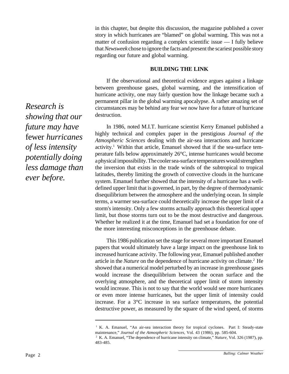in this chapter, but despite this discussion, the magazine published a cover story in which hurricanes are "blamed" on global warming. This was not a matter of confusion regarding a complex scientific issue — I fully believe that *Newsweek* chose to ignore the facts and present the scariest possible story regarding our future and global warming.

### **BUILDING THE LINK**

If the observational and theoretical evidence argues against a linkage between greenhouse gases, global warming, and the intensification of hurricane activity, one may fairly question how the linkage became such a permanent pillar in the global warming apocalypse. A rather amazing set of circumstances may be behind any fear we now have for a future of hurricane destruction.

In 1986, noted M.I.T. hurricane scientist Kerry Emanuel published a highly technical and complex paper in the prestigious *Journal of the Atmospheric Sciences* dealing with the air-sea interactions and hurricane activity.<sup>1</sup> Within that article, Emanuel showed that if the sea-surface temperature falls below approximately 26°C, intense hurricanes would become a physical impossibility. The cooler sea-surface temperatures would strengthen the inversion that exists in the trade winds of the subtropical to tropical latitudes, thereby limiting the growth of convective clouds in the hurricane system. Emanuel further showed that the intensity of a hurricane has a welldefined upper limit that is governed, in part, by the degree of thermodynamic disequilibrium between the atmosphere and the underlying ocean. In simple terms, a warmer sea-surface could theoretically increase the upper limit of a storm's intensity. Only a few storms actually approach this theoretical upper limit, but those storms turn out to be the most destructive and dangerous. Whether he realized it at the time, Emanuel had set a foundation for one of the more interesting misconceptions in the greenhouse debate.

This 1986 publication set the stage for several more important Emanuel papers that would ultimately have a large impact on the greenhouse link to increased hurricane activity. The following year, Emanuel published another article in the *Nature* on the dependence of hurricane activity on climate.<sup>2</sup> He showed that a numerical model perturbed by an increase in greenhouse gases would increase the disequilibrium between the ocean surface and the overlying atmosphere, and the theoretical upper limit of storm intensity would increase. This is not to say that the world would see more hurricanes or even more intense hurricanes, but the upper limit of intensity could increase. For a 3°C increase in sea surface temperatures, the potential destructive power, as measured by the square of the wind speed, of storms

*Research is showing that our future may have* fewer *hurricanes of less intensity potentially doing less damage than ever before.*

<sup>&</sup>lt;sup>1</sup> K. A. Emanuel, "An air-sea interaction theory for tropical cyclones. Part I: Steady-state maintenance," *Journal of the Atmospheric Sciences,* Vol. 43 (1986), pp. 585-604.

<sup>2</sup> K. A. Emanuel, "The dependence of hurricane intensity on climate," *Nature,* Vol. 326 (1987), pp. 483-485.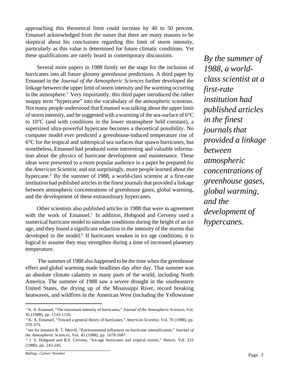approaching this theoretical limit could increase by 40 to 50 percent. Emanuel acknowledged from the outset that there are many reasons to be skeptical about his conclusions regarding this limit of storm intensity, particularly as this value is determined for future climatic conditions. Yet these qualifications are rarely heard in contemporary discussions.

Several more papers in 1988 firmly set the stage for the inclusion of hurricanes into all future gloomy greenhouse predictions. A third paper by Emanuel in the *Journal of the Atmospheric Sciences* further developed the linkage between the upper limit of storm intensity and the warming occurring in the atmosphere.<sup>3</sup> Very importantly, this third paper introduced the rather snappy term "hypercane" into the vocabulary of the atmospheric scientists. Not many people understood that Emanuel was talking about the upper limit of storm intensity, and he suggested with a warming of the sea-surface of 6°C to  $10^{\circ}$ C (and with conditions in the lower stratosphere held constant), a supersized ultra-powerful hypercane becomes a theoretical possibility. No computer model ever predicted a greenhouse-induced temperature rise of 6°C for the tropical and subtropical sea surfaces that spawn hurricanes, but nonetheless, Emanuel had produced some interesting and valuable information about the physics of hurricane development and maintenance. These ideas were presented to a more popular audience in a paper he prepared for the *American Scientist*, and not surprisingly, more people learned about the hypercane.<sup>4</sup> By the summer of 1988, a world-class scientist at a first-rate institution had published articles in the finest journals that provided a linkage between atmospheric concentrations of greenhouse gases, global warming, and the development of these extraordinary hypercanes.

Other scientists also published articles in 1988 that were in agreement with the work of Emanuel.<sup>5</sup> In addition, Hobgood and Cerveny used a numerical hurricane model to simulate conditions during the height of an ice age, and they found a significant reduction in the intensity of the storms that developed in the model.<sup>6</sup> If hurricanes weaken in ice age conditions, it is logical to assume they may strengthen during a time of increased planetary temperature.

 The summer of 1988 also happened to be the time when the greenhouse effect and global warming made headlines day after day. That summer was an absolute climate calamity in many parts of the world, including North America. The summer of 1988 saw a severe drought in the southeastern United States, the drying up of the Mississippi River, record breaking heatwaves, and wildfires in the American West (including the Yellowstone

*By the summer of 1988, a worldclass scientist at a first-rate institution had published articles in the finest journals that provided a linkage between atmospheric concentrations of greenhouse gases, global warming, and the development of hypercanes.*

<sup>3</sup> K. A. Emanuel, "The maximum intensity of hurricanes," *Journal of the Atmospheric Sciences,* Vol. 45 (1988), pp. 1143-1156.

<sup>4</sup> K. A. Emanuel, "Toward a general theory of hurricanes," *American Scientist,* Vol. 76 (1988), pp. 370-379.

<sup>5</sup>see for instance R. T. Merrill, "Environmental influences on hurricane intensification," *Journal of the Atmospheric Sciences,* Vol. 45 (1988), pp. 1678-1687.

<sup>6</sup> J. S. Hobgood and R.S. Cerveny, "Ice-age hurricanes and tropical storms," *Nature,* Vol. 333 (1988), pp. 243-245.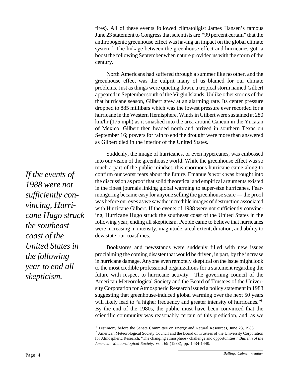fires). All of these events followed climatoligist James Hansen's famous June 23 statement to Congress that scientists are "99 percent certain" that the anthropogenic greenhouse effect was having an impact on the global climate system.<sup>7</sup> The linkage between the greenhouse effect and hurricanes got a boost the following September when nature provided us with the storm of the century.

North Americans had suffered through a summer like no other, and the greenhouse effect was the culprit many of us blamed for our climate problems. Just as things were quieting down, a tropical storm named Gilbert appeared in September south of the Virgin Islands. Unlike other storms of the that hurricane season, Gilbert grew at an alarming rate. Its center pressure dropped to 885 millibars which was the lowest pressure ever recorded for a hurricane in the Western Hemisphere. Winds in Gilbert were sustained at 280 km/hr (175 mph) as it smashed into the area around Cancun in the Yucatan of Mexico. Gilbert then headed north and arrived in southern Texas on September 16; prayers for rain to end the drought were more than answered as Gilbert died in the interior of the United States.

Suddenly, the image of hurricanes, or even hypercanes, was embossed into our vision of the greenhouse world. While the greenhouse effect was so much a part of the public mindset, this enormous hurricane came along to confirm our worst fears about the future. Emanuel's work was brought into the discussion as proof that solid theoretical and empirical arguments existed in the finest journals linking global warming to super-size hurricanes. Fearmongering became easy for anyone selling the greenhouse scare — the proof was before our eyes as we saw the incredible images of destruction associated with Hurricane Gilbert. If the events of 1988 were not sufficiently convincing, Hurricane Hugo struck the southeast coast of the United States in the following year, ending all skepticism. People came to believe that hurricanes were increasing in intensity, magnitude, areal extent, duration, and ability to devastate our coastlines.

Bookstores and newsstands were suddenly filled with new issues proclaiming the coming disaster that would be driven, in part, by the increase in hurricane damage. Anyone even remotely skeptical on the issue might look to the most credible professional organizations for a statement regarding the future with respect to hurricane activity. The governing council of the American Meteorological Society and the Board of Trustees of the University Corporation for Atmospheric Research issued a policy statement in 1988 suggesting that greenhouse-induced global warming over the next 50 years will likely lead to "a higher frequency and greater intensity of hurricanes."<sup>8</sup> By the end of the 1980s, the public must have been convinced that the scientific community was reasonably certain of this prediction, and, as we

*If the events of 1988 were not sufficiently convincing, Hurricane Hugo struck the southeast coast of the United States in the following year to end all skepticism.*

<sup>&</sup>lt;sup>7</sup> Testimony before the Senate Committee on Energy and Natural Resources, June 23, 1988.

<sup>&</sup>lt;sup>8</sup> American Meteorological Society Council and the Board of Trustees of the University Corporation for Atmospheric Research, "The changing atmosphere - challenge and opportunities," *Bulletin of the American Meteorological Society,* Vol. 69 (1988), pp. 1434-1440.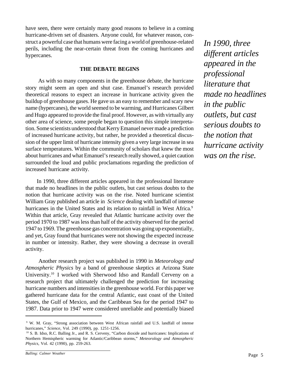have seen, there were certainly many good reasons to believe in a coming hurricane-driven set of disasters. Anyone could, for whatever reason, construct a powerful case that humans were facing a world of greenhouse-related perils, including the near-certain threat from the coming hurricanes and hypercanes.

#### **THE DEBATE BEGINS**

 As with so many components in the greenhouse debate, the hurricane story might seem an open and shut case. Emanuel's research provided theoretical reasons to expect an increase in hurricane activity given the buildup of greenhouse gases. He gave us an easy to remember and scary new name (hypercanes), the world seemed to be warming, and Hurricanes Gilbert and Hugo appeared to provide the final proof. However, as with virtually any other area of science, some people began to question this simple interpretation. Some scientists understood that Kerry Emanuel never made a prediction of increased hurricane activity, but rather, he provided a theoretical discussion of the upper limit of hurricane intensity given a very large increase in sea surface temperatures. Within the community of scholars that knew the most about hurricanes and what Emanuel's research really showed, a quiet caution surrounded the loud and public proclamations regarding the prediction of increased hurricane activity.

In 1990, three different articles appeared in the professional literature that made no headlines in the public outlets, but cast serious doubts to the notion that hurricane activity was on the rise. Noted hurricane scientist William Gray published an article in *Science* dealing with landfall of intense hurricanes in the United States and its relation to rainfall in West Africa.<sup>9</sup> Within that article, Gray revealed that Atlantic hurricane activity over the period 1970 to 1987 was less than half of the activity observed for the period 1947 to 1969. The greenhouse gas concentration was going up exponentially, and yet, Gray found that hurricanes were not showing the expected increase in number or intensity. Rather, they were showing a decrease in overall activity.

 Another research project was published in 1990 in *Meteorology and Atmospheric Physics* by a band of greenhouse skeptics at Arizona State University.<sup>10</sup> I worked with Sherwood Idso and Randall Cerveny on a research project that ultimately challenged the prediction for increasing hurricane numbers and intensities in the greenhouse world. For this paper we gathered hurricane data for the central Atlantic, east coast of the United States, the Gulf of Mexico, and the Caribbean Sea for the period 1947 to 1987. Data prior to 1947 were considered unreliable and potentially biased

*In 1990, three different articles appeared in the professional literature that made no headlines in the public outlets, but cast serious doubts to the notion that hurricane activity was on the rise.*

<sup>9</sup> W. M. Gray, "Strong association between West African rainfall and U.S. landfall of intense hurricanes," *Science,* Vol. 249 (1990), pp. 1251-1256.

<sup>&</sup>lt;sup>10</sup> S. B. Idso, R.C. Balling Jr., and R. S. Cerveny, "Carbon dioxide and hurricanes: Implications of Northern Hemispheric warming for Atlantic/Caribbean storms," *Meteorology and Atmospheric Physics,* Vol. 42 (1990), pp. 259-263.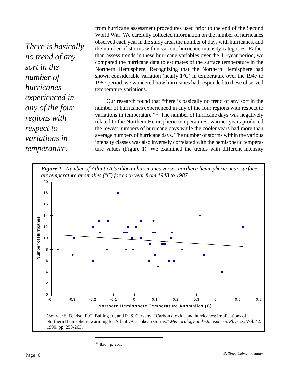*There is basically no trend of any sort in the number of hurricanes experienced in any of the four regions with respect to variations in temperature.*

from hurricane assessment procedures used prior to the end of the Second World War. We carefully collected information on the number of hurricanes observed each year in the study area, the number of days with hurricanes, and the number of storms within various hurricane intensity categories. Rather than assess trends in these hurricane variables over the 41-year period, we compared the hurricane data to estimates of the surface temperature in the Northern Hemisphere. Recognizing that the Northern Hemisphere had shown considerable variation (nearly  $1^{\circ}$ C) in temperature over the 1947 to 1987 period, we wondered how hurricanes had responded to these observed temperature variations.

Our research found that "there is basically no trend of any sort in the number of hurricanes experienced in any of the four regions with respect to variations in temperature."<sup>11</sup> The number of hurricane days was negatively related to the Northern Hemispheric temperatures; warmer years produced the lowest numbers of hurricane days while the cooler years had more than average numbers of hurricane days. The number of storms within the various intensity classes was also inversely correlated with the hemispheric temperature values (Figure 1). We examined the trends with different intensity





(Source: S. B. Idso, R.C. Balling Jr., and R. S. Cerveny, "Carbon dioxide and hurricanes: Implications of Northern Hemispheric warming for Atlantic/Caribbean storms," *Meteorology and Atmospheric Physics*, Vol. 42. 1990, pp. 259-263.)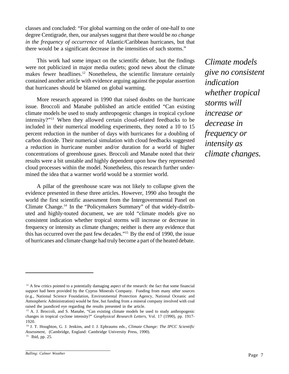classes and concluded: "For global warming on the order of one-half to one degree Centigrade, then, our analyses suggest that there would be *no change in the frequency of occurrence* of Atlantic/Caribbean hurricanes, but that there would be a significant decrease in the intensities of such storms."

This work had some impact on the scientific debate, but the findings were not publicized in major media outlets; good news about the climate makes fewer headlines.<sup>12</sup> Nonetheless, the scientific literature certainly contained another article with evidence arguing against the popular assertion that hurricanes should be blamed on global warming.

More research appeared in 1990 that raised doubts on the hurricane issue. Broccoli and Manabe published an article entitled "Can existing climate models be used to study anthropogenic changes in tropical cyclone intensity?"<sup>13</sup> When they allowed certain cloud-related feedbacks to be included in their numerical modeling experiments, they noted a 10 to 15 percent reduction in the number of days with hurricanes for a doubling of carbon dioxide. Their numerical simulation with cloud feedbacks suggested a reduction in hurricane number and/or duration for a world of higher concentrations of greenhouse gases. Broccoli and Manabe noted that their results were a bit unstable and highly dependent upon how they represented cloud processes within the model. Nonetheless, this research further undermined the idea that a warmer world would be a stormier world.

A pillar of the greenhouse scare was not likely to collapse given the evidence presented in these three articles. However, 1990 also brought the world the first scientific assessment from the Intergovernmental Panel on Climate Change.14 In the "Policymakers Summary" of that widely-distributed and highly-touted document, we are told "climate models give no consistent indication whether tropical storms will increase or decrease in frequency or intensity as climate changes; neither is there any evidence that this has occurred over the past few decades."<sup>15</sup> By the end of 1990, the issue of hurricanes and climate change had truly become a part of the heated debate.

<sup>12</sup> A few critics pointed to a potentially damaging aspect of the research: the fact that some financial support had been provided by the Cyprus Minerals Company. Funding from many other sources (e.g., National Science Foundation, Environmental Protection Agency, National Oceanic and Atmospheric Administration) would be fine, but funding from a mineral company involved with coal raised the jaundiced eye regarding the results presented in the article.

*Climate models give no consistent indication whether tropical storms will increase or decrease in frequency or intensity as climate changes.*

<sup>&</sup>lt;sup>13</sup> A. J. Broccoli, and S. Manabe, "Can existing climate models be used to study anthropogenic changes in tropical cyclone intensity?" *Geophysical Research Letters,* Vol. 17 (1990), pp. 1917- 1920.

<sup>14</sup> J. T. Houghton, G. J. Jenkins, and J. J. Ephraums eds., *Climate Change: The IPCC Scientific Assessment,* (Cambridge, England: Cambridge University Press, 1990).

<sup>15</sup> Ibid, pp. 25.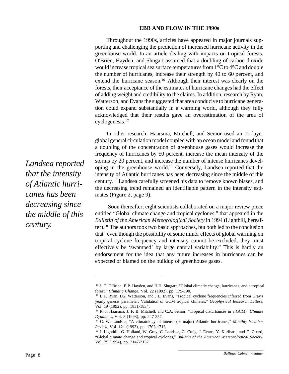#### **EBB AND FLOW IN THE 1990s**

Throughout the 1990s, articles have appeared in major journals supporting and challenging the prediction of increased hurricane activity in the greenhouse world. In an article dealing with impacts on tropical forests, O'Brien, Hayden, and Shugart assumed that a doubling of carbon dioxide would increase tropical sea surface temperatures from 1°C to 4°C and double the number of hurricanes, increase their strength by 40 to 60 percent, and extend the hurricane season.<sup>16</sup> Although their interest was clearly on the forests, their acceptance of the estimates of hurricane changes had the effect of adding weight and credibility to the claims. In addition, research by Ryan, Watterson, and Evans the suggested that area conducive to hurricane generation could expand substantially in a warming world, although they fully acknowledged that their results gave an overestimation of the area of cyclogenesis.<sup>17</sup>

In other research, Haarsma, Mitchell, and Senior used an 11-layer global general circulation model coupled with an ocean model and found that a doubling of the concentration of greenhouse gases would increase the frequency of hurricanes by 50 percent, increase the mean intensity of the storms by 20 percent, and increase the number of intense hurricanes developing in the greenhouse world.<sup>18</sup> Conversely, Landsea reported that the intensity of Atlantic hurricanes has been decreasing since the middle of this century.<sup>19</sup> Landsea carefully screened his data to remove known biases, and the decreasing trend remained an identifiable pattern in the intensity estimates (Figure 2, page 9).

 Soon thereafter, eight scientists collaborated on a major review piece entitled "Global climate change and tropical cyclones," that appeared in the *Bulletin of the American Meteorological Society* in 1994 (Lighthill, hereafter).<sup>20</sup> The authors took two basic approaches, but both led to the conclusion that "even though the possibility of some minor effects of global warming on tropical cyclone frequency and intensity cannot be excluded, they must effectively be 'swamped' by large natural variability." This is hardly an endorsement for the idea that any future increases in hurricanes can be expected or blamed on the buildup of greenhouse gases.

*Landsea reported that the intensity of Atlantic hurricanes has been decreasing since the middle of this century.*

<sup>&</sup>lt;sup>16</sup> S. T. O'Brien, B.P. Hayden, and H.H. Shugart, "Global climatic change, hurricanes, and a tropical forest," *Climatic Change,* Vol. 22 (1992), pp. 175-190.

<sup>&</sup>lt;sup>17</sup> B.F. Ryan, I.G. Watterson, and J.L. Evans, "Tropical cyclone frequencies inferred from Gray's yearly genesis parameter: Validation of GCM tropical climates," *Geophysical Research Letters,* Vol. 19 (1992), pp. 1831-1834.

<sup>18</sup> R. J. Haarsma, J. F. B. Mitchell, and C.A. Senior, "Tropical disturbances in a GCM," *Climate Dynamics,* Vol. 8 (1993), pp. 247-257.

<sup>19</sup> C. W. Landsea, "A climatology of intense (or major) Atlantic hurricanes," *Monthly Weather Review,* Vol. 121 (1993), pp. 1703-1713.

<sup>20</sup> J. Lighthill, G. Holland, W. Gray, C. Landsea, G. Craig, J. Evans, Y. Kurihara, and C. Guard, "Global climate change and tropical cyclones," *Bulletin of the American Meteorological Society,* Vol. 75 (1994), pp. 2147-2157.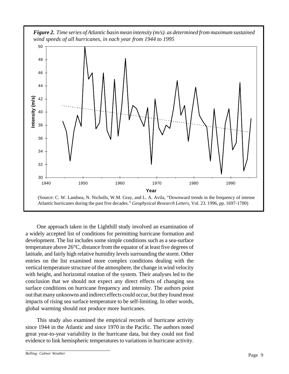



One approach taken in the Lighthill study involved an examination of a widely accepted list of conditions for permitting hurricane formation and development. The list includes some simple conditions such as a sea-surface temperature above 26°C, distance from the equator of at least five degrees of latitude, and fairly high relative humidity levels surrounding the storm. Other entries on the list examined more complex conditions dealing with the vertical temperature structure of the atmosphere, the change in wind velocity with height, and horizontal rotation of the system. Their analyses led to the conclusion that we should not expect any direct effects of changing sea surface conditions on hurricane frequency and intensity. The authors point out that many unknowns and indirect effects could occur, but they found most impacts of rising sea surface temperature to be self-limiting. In other words, global warming should not produce more hurricanes.

This study also examined the empirical records of hurricane activity since 1944 in the Atlantic and since 1970 in the Pacific. The authors noted great year-to-year variability in the hurricane data, but they could not find evidence to link hemispheric temperatures to variations in hurricane activity.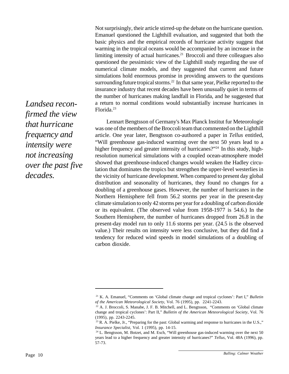*Landsea reconfirmed the view that hurricane frequency and intensity were not increasing over the past five decades.*

Not surprisingly, their article stirred-up the debate on the hurricane question. Emanuel questioned the Lighthill evaluation, and suggested that both the basic physics and the empirical records of hurricane activity suggest that warming in the tropical oceans would be accompanied by an increase in the limiting intensity of actual hurricanes.<sup>21</sup> Broccoli and three colleagues also questioned the pessimistic view of the Lighthill study regarding the use of numerical climate models, and they suggested that current and future simulations hold enormous promise in providing answers to the questions surrounding future tropical storms.<sup>22</sup> In that same year, Pielke reported to the insurance industry that recent decades have been unusually quiet in terms of the number of hurricanes making landfall in Florida, and he suggested that a return to normal conditions would substantially increase hurricanes in Florida.<sup>23</sup>

Lennart Bengtsson of Germany's Max Planck Institut fur Meteorologie was one of the members of the Broccoli team that commented on the Lighthill article. One year later, Bengtsson co-authored a paper in *Tellus* entitled, "Will greenhouse gas-induced warming over the next 50 years lead to a higher frequency and greater intensity of hurricanes?"<sup>24</sup> In this study, highresolution numerical simulations with a coupled ocean-atmosphere model showed that greenhouse-induced changes would weaken the Hadley circulation that dominates the tropics but strengthen the upper-level westerlies in the vicinity of hurricane development. When compared to present day global distribution and seasonality of hurricanes, they found no changes for a doubling of a greenhouse gases. However, the number of hurricanes in the Northern Hemisphere fell from 56.2 storms per year in the present-day climate simulation to only 42 storms per year for a doubling of carbon dioxide or its equivalent. (The observed value from 1958-1977 is 54.6.) In the Southern Hemisphere, the number of hurricanes dropped from 26.8 in the present-day model run to only 11.6 storms per year. (24.5 is the observed value.) Their results on intensity were less conclusive, but they did find a tendency for reduced wind speeds in model simulations of a doubling of carbon dioxide.

<sup>21</sup> K. A. Emanuel, "Comments on 'Global climate change and tropical cyclones': Part I," *Bulletin of the American Meteorological Society*, Vol. 76 (1995), pp. 2241-2243.

<sup>&</sup>lt;sup>22</sup> A. J. Broccoli, S. Manabe, J. F. B. Mitchell, and L. Bengtsson, "Comments on 'Global climate change and tropical cyclones': Part II," *Bulletin of the American Meteorological Society,* Vol. 76 (1995), pp. 2243-2245.

<sup>&</sup>lt;sup>23</sup> R. A. Pielke, Jr., "Preparing for the past: Global warming and response to hurricanes in the U.S.," *Insurance Specialist,* Vol. 1 (1995), pp. 14-15.

<sup>&</sup>lt;sup>24</sup> L. Bengtsson, M. Botzet, and M. Esch, "Will greenhouse gas-induced warming over the next 50 years lead to a higher frequency and greater intensity of hurricanes?" *Tellus,* Vol. 48A (1996), pp. 57-73.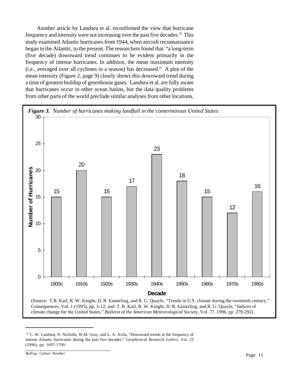Another article by Landsea et al. reconfirmed the view that hurricane frequency and intensity were not increasing over the past five decades.<sup>25</sup> This study examined Atlantic hurricanes from 1944, when aircraft reconnaissance began in the Atlantic, to the present. The researchers found that "a long-term (five decade) downward trend continues to be evident primarily in the frequency of intense hurricanes. In addition, the mean maximum intensity (i.e., averaged over all cyclones in a season) has decreased." A plot of the mean intensity (Figure 2, page 9) clearly shows this downward trend during a time of greatest buildup of greenhouse gases. Landsea et al. are fully aware that hurricanes occur in other ocean basins, but the data quality problems from other parts of the world preclude similar analyses from other locations.



<sup>25</sup> C. W. Landsea, N. Nicholls, W.M. Gray, and L. A. Avila, "Downward trends in the frequency of intense Atlantic hurricanes during the past five decades." *Geophysical Research Letters,* Vol. 23 (1996), pp. 1697-1700.

Page 11 *Balling: Calmer Weather*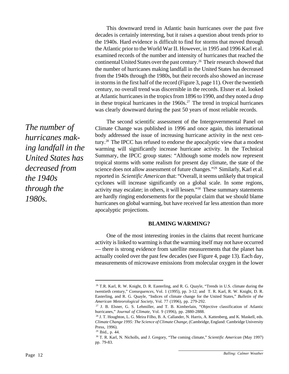This downward trend in Atlantic basin hurricanes over the past five decades is certainly interesting, but it raises a question about trends prior to the 1940s. Hard evidence is difficult to find for storms that moved through the Atlantic prior to the World War II. However, in 1995 and 1996 Karl et al. examined records of the number and intensity of hurricanes that reached the continental United States over the past century.<sup>26</sup> Their research showed that the number of hurricanes making landfall in the United States has decreased from the 1940s through the 1980s, but their records also showed an increase in storms in the first half of the record (Figure 3, page 11). Over the twentieth century, no overall trend was discernible in the records. Elsner et al. looked at Atlantic hurricanes in the tropics from 1896 to 1990, and they noted a drop in these tropical hurricanes in the  $1960s<sup>27</sup>$ . The trend in tropical hurricanes was clearly downward during the past 50 years of most reliable records.

The second scientific assessment of the Intergovernmental Panel on Climate Change was published in 1996 and once again, this international body addressed the issue of increasing hurricane activity in the next century.<sup>28</sup> The IPCC has refused to endorse the apocalyptic view that a modest warming will significantly increase hurricane activity. In the Technical Summary, the IPCC group states: "Although some models now represent tropical storms with some realism for present day climate, the state of the science does not allow assessment of future changes."<sup>29</sup> Similarly, Karl et al. reported in *Scientific American* that: "Overall, it seems unlikely that tropical cyclones will increase significantly on a global scale. In some regions, activity may escalate; in others, it will lessen."<sup>30</sup> These summary statements are hardly ringing endorsements for the popular claim that we should blame hurricanes on global warming, but have received far less attention than more apocalyptic projections.

### **BLAMING WARMING?**

One of the most interesting ironies in the claims that recent hurricane activity is linked to warming is that the warming itself may not have occurred — there is strong evidence from satellite measurements that the planet has actually cooled over the past few decades (see Figure 4, page 13). Each day, measurements of microwave emissions from molecular oxygen in the lower

*The number of hurricanes making landfall in the United States has decreased from the 1940s through the 1980s.*

<sup>&</sup>lt;sup>26</sup> T.R. Karl, R. W. Knight, D. R. Easterling, and R. G. Quayle, "Trends in U.S. climate during the twentieth century," *Consequences*, Vol. 1 (1995), pp. 3-12; and T. R. Karl, R. W. Knight, D. R. Easterling, and R. G. Quayle, "Indices of climate change for the United States," *Bulletin of the American Meteorological Society,* Vol. 77 (1996), pp. 279-292.

<sup>27</sup> J. B. Elsner, G. S. Lehmiller, and T. B. Kimberlain, "Objective classification of Atlantic hurricanes," *Journal of Climate*, Vol. 9 (1996), pp. 2880-2888.

<sup>&</sup>lt;sup>28</sup> J. T. Houghton, L. G. Meira Filho, B. A. Callander, N. Harris, A. Kattenberg, and K. Maskell, eds. *Climate Change 1995: The Science of Climate Change,* (Cambridge, England: Cambridge University Press, 1996).

<sup>29</sup> Ibid., p. 44.

<sup>30</sup> T. R. Karl, N. Nicholls, and J. Gregory, "The coming climate," *Scientific American* (May 1997) pp. 79-83.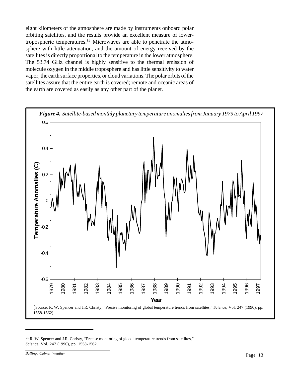eight kilometers of the atmosphere are made by instruments onboard polar orbiting satellites, and the results provide an excellent measure of lowertropospheric temperatures.31 Microwaves are able to penetrate the atmosphere with little attenuation, and the amount of energy received by the satellites is directly proportional to the temperature in the lower atmosphere. The 53.74 GHz channel is highly sensitive to the thermal emission of molecule oxygen in the middle troposphere and has little sensitivity to water vapor, the earth surface properties, or cloud variations. The polar orbits of the satellites assure that the entire earth is covered; remote and oceanic areas of the earth are covered as easily as any other part of the planet.



<sup>&</sup>lt;sup>31</sup> R. W. Spencer and J.R. Christy, "Precise monitoring of global temperature trends from satellites," *Science,* Vol. 247 (1990), pp. 1558-1562.

Page 13 *Balling: Calmer Weather*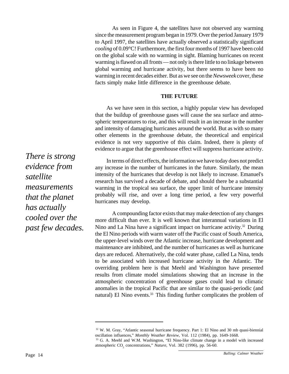As seen in Figure 4, the satellites have not observed any warming since the measurement program began in 1979. Over the period January 1979 to April 1997, the satellites have actually observed a statistically significant *cooling* of 0.09°C! Furthermore, the first four months of 1997 have been cold on the global scale with no warming in sight. Blaming hurricanes on recent warming is flawed on all fronts — not only is there little to no linkage between global warming and hurricane activity, but there seems to have been no warming in recent decades either. But as we see on the *Newsweek* cover, these facts simply make little difference in the greenhouse debate.

### **THE FUTURE**

As we have seen in this section, a highly popular view has developed that the buildup of greenhouse gases will cause the sea surface and atmospheric temperatures to rise, and this will result in an increase in the number and intensity of damaging hurricanes around the world. But as with so many other elements in the greenhouse debate, the theoretical and empirical evidence is not very supportive of this claim. Indeed, there is plenty of evidence to argue that the greenhouse effect will suppress hurricane activity.

In terms of direct effects, the information we have today does not predict any increase in the number of hurricanes in the future. Similarly, the mean intensity of the hurricanes that develop is not likely to increase. Emanuel's research has survived a decade of debate, and should there be a substantial warming in the tropical sea surface, the upper limit of hurricane intensity probably will rise, and over a long time period, a few very powerful hurricanes may develop.

A compounding factor exists that may make detection of any changes more difficult than ever. It is well known that interannual variations in El Nino and La Nina have a significant impact on hurricane activity.<sup>32</sup> During the El Nino periods with warm water off the Pacific coast of South America, the upper-level winds over the Atlantic increase, hurricane development and maintenance are inhibited, and the number of hurricanes as well as hurricane days are reduced. Alternatively, the cold water phase, called La Nina, tends to be associated with increased hurricane activity in the Atlantic. The overriding problem here is that Meehl and Washington have presented results from climate model simulations showing that an increase in the atmospheric concentration of greenhouse gases could lead to climatic anomalies in the tropical Pacific that are similar to the quasi-periodic (and natural) El Nino events.<sup>33</sup> This finding further complicates the problem of

*There is strong evidence from satellite measurements that the planet has actually cooled over the past few decades.*

<sup>32</sup> W. M. Gray, "Atlantic seasonal hurricane frequency. Part 1: El Nino and 30 mb quasi-biennial oscillation influences," *Monthly Weather Review,* Vol. 112 (1984), pp. 1649-1668.

<sup>33</sup> G. A. Meehl and W.M. Washington, "El Nino-like climate change in a model with increased atmospheric CO<sub>2</sub> concentrations," *Nature*, Vol. 382 (1996), pp. 56-60.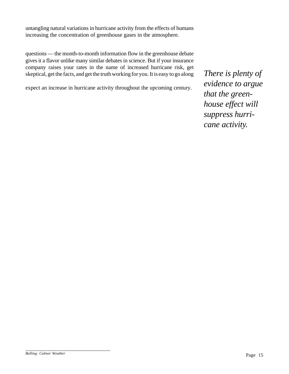untangling natural variations in hurricane activity from the effects of humans increasing the concentration of greenhouse gases in the atmosphere.

questions — the month-to-month information flow in the greenhouse debate gives it a flavor unlike many similar debates in science. But if your insurance company raises your rates in the name of increased hurricane risk, get skeptical, get the facts, and get the truth working for you. It is easy to go along

expect an increase in hurricane activity throughout the upcoming century.

*There is plenty of evidence to argue that the greenhouse effect will suppress hurricane activity.*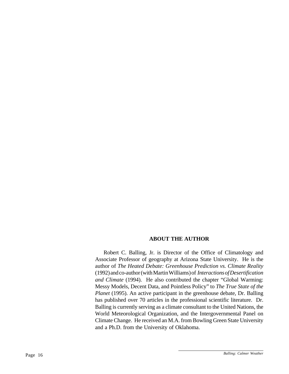### **ABOUT THE AUTHOR**

Robert C. Balling, Jr. is Director of the Office of Climatology and Associate Professor of geography at Arizona State University. He is the author of *The Heated Debate: Greenhouse Prediction vs. Climate Reality* (1992) and co-author (with Martin Williams) of *Interactions of Desertification and Climate* (1994). He also contributed the chapter "Global Warming: Messy Models, Decent Data, and Pointless Policy" to *The True State of the Planet* (1995). An active participant in the greenhouse debate, Dr. Balling has published over 70 articles in the professional scientific literature. Dr. Balling is currently serving as a climate consultant to the United Nations, the World Meteorological Organization, and the Intergovernmental Panel on Climate Change. He received an M.A. from Bowling Green State University and a Ph.D. from the University of Oklahoma.